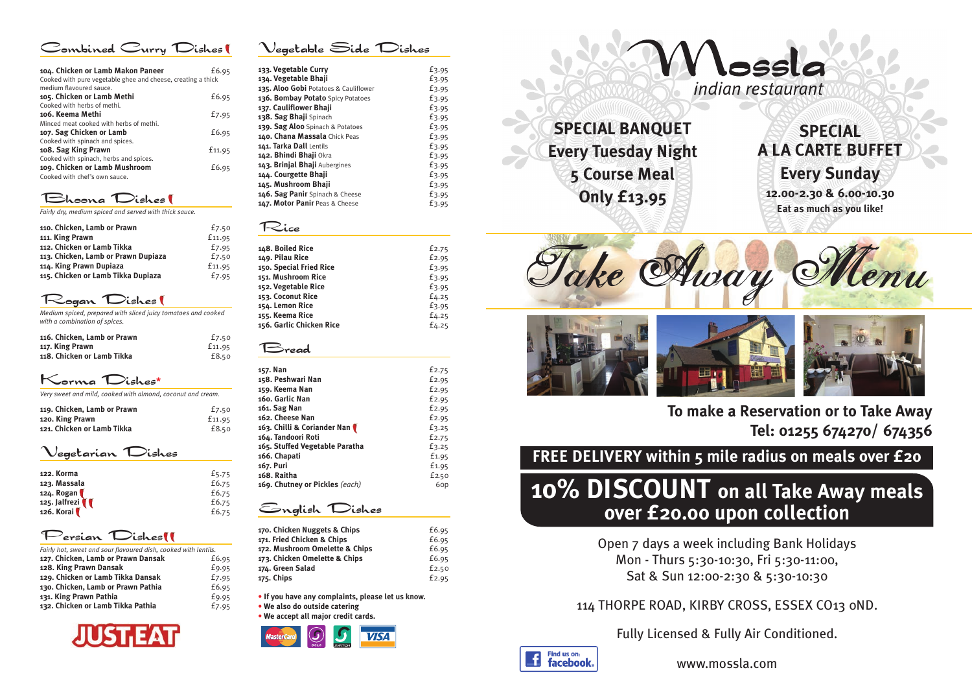### Combined Curry Dishes

| 104. Chicken or Lamb Makon Paneer<br>Cooked with pure vegetable ghee and cheese, creating a thick | £6.95  |
|---------------------------------------------------------------------------------------------------|--------|
| medium flavoured sauce.                                                                           |        |
| 105. Chicken or Lamb Methi                                                                        | £6.95  |
| Cooked with herbs of methi.                                                                       |        |
| 106. Keema Methi                                                                                  | £7.95  |
| Minced meat cooked with herbs of methi.                                                           |        |
| 107. Sag Chicken or Lamb                                                                          | £6.95  |
| Cooked with spinach and spices.                                                                   |        |
| 108. Sag King Prawn                                                                               | £11.95 |
| Cooked with spinach, herbs and spices.                                                            |        |
| 109. Chicken or Lamb Mushroom                                                                     | £6.95  |
| Cooked with chef's own sauce.                                                                     |        |
|                                                                                                   |        |

## Bhoona Dishes

*Fairly dry, medium spiced and served with thick sauce.*

| 110. Chicken, Lamb or Prawn         | £7.50  |
|-------------------------------------|--------|
| 111. King Prawn                     | £11.95 |
| 112. Chicken or Lamb Tikka          | £7.95  |
| 113. Chicken, Lamb or Prawn Dupiaza | £7.50  |
| 114. King Prawn Dupiaza             | £11.95 |
| 115. Chicken or Lamb Tikka Dupiaza  | £7.95  |
|                                     |        |

## Rogan Dishes

*Medium spiced, prepared with sliced juicy tomatoes and cooked with a combination of spices.*

| 116. Chicken, Lamb or Prawn | £7.50  |
|-----------------------------|--------|
| 117. King Prawn             | £11.95 |
| 118. Chicken or Lamb Tikka  | £8.50  |

## Korma Dishes**\***

*Very sweet and mild, cooked with almond, coconut and cream.*

| 119. Chicken, Lamb or Prawn | £7.50  |
|-----------------------------|--------|
| 120. King Prawn             | £11.95 |
| 121. Chicken or Lamb Tikka  | £8.50  |

### Vegetarian Dishes

| 122. Korma    | £5.75 |
|---------------|-------|
| 123. Massala  | £6.75 |
| 124. Rogan    | £6.75 |
| 125. Jalfrezi | £6.75 |
| 126. Korai    | £6.75 |

## Persian Dishes

| Fairly hot, sweet and sour flavoured dish, cooked with lentils. |       |
|-----------------------------------------------------------------|-------|
| 127. Chicken, Lamb or Prawn Dansak                              | £6.95 |
| 128. King Prawn Dansak                                          | £9.95 |
| 129. Chicken or Lamb Tikka Dansak                               | £7.95 |
| 130. Chicken, Lamb or Prawn Pathia                              | £6.95 |
| 131. King Prawn Pathia                                          | £9.95 |
| 132. Chicken or Lamb Tikka Pathia                               | £7.95 |



| Vegetable Side Dishes |  |  |  |  |
|-----------------------|--|--|--|--|
|-----------------------|--|--|--|--|

| 133. Vegetable Curry                  | £3.95 |
|---------------------------------------|-------|
| 134. Vegetable Bhaji                  | £3.95 |
| 135. Aloo Gobi Potatoes & Cauliflower | £3.95 |
| 136. Bombay Potato Spicy Potatoes     | £3.95 |
| 137. Cauliflower Bhaji                | £3.95 |
| 138. Sag Bhaji Spinach                | £3.95 |
| 139. Sag Aloo Spinach & Potatoes      | £3.95 |
| 140. Chana Massala Chick Peas         | £3.95 |
| 141. Tarka Dall Lentils               | £3.95 |
| 142. Bhindi Bhaji Okra                | £3.95 |
| 143. Brinjal Bhaji Aubergines         | £3.95 |
| 144. Courgette Bhaji                  | £3.95 |
| 145. Mushroom Bhaji                   | £3.95 |
| 146. Sag Panir Spinach & Cheese       | £3.95 |
| 147. Motor Panir Peas & Cheese        | £3.95 |

### Rice

| 148. Boiled Rice         | £2.75 |
|--------------------------|-------|
| 149. Pilau Rice          | £2.95 |
| 150. Special Fried Rice  | £3.95 |
| 151. Mushroom Rice       | £3.95 |
| 152. Vegetable Rice      | £3.95 |
| 153. Coconut Rice        | £4.25 |
| 154. Lemon Rice          | £3.95 |
| 155. Keema Rice          | £4.25 |
| 156. Garlic Chicken Rice | £4.25 |
|                          |       |

### Bread

£7.50 f<sub>11.95</sub><br>f8.50

| 157. Nan                       | £2.75 |
|--------------------------------|-------|
| 158. Peshwari Nan              | £2.95 |
| 159. Keema Nan                 | £2.95 |
| 160. Garlic Nan                | £2.95 |
| 161. Sag Nan                   | £2.95 |
| 162. Cheese Nan                | £2.95 |
| 163. Chilli & Coriander Nan    | £3.25 |
| 164. Tandoori Roti             | £2.75 |
| 165. Stuffed Vegetable Paratha | £3.25 |
| 166. Chapati                   | £1.95 |
| 167. Puri                      | £1.95 |
| 168. Raitha                    | £2.50 |
| 169. Chutney or Pickles (each) | 6op   |
|                                |       |

### English Dishes

| 170. Chicken Nuggets & Chips   | £6.95 |
|--------------------------------|-------|
| 171. Fried Chicken & Chips     | £6.95 |
| 172. Mushroom Omelette & Chips | £6.95 |
| 173. Chicken Omelette & Chips  | £6.95 |
| 174. Green Salad               | £2.50 |
| 175. Chips                     | £2.95 |
|                                |       |

**• If you have any complaints, please let us know.**

**• We also do outside catering • We accept all major credit cards.**



# indian restaurant

**SPECIAL BANQUET Every Tuesday Night 5 Course Meal Only £13.95**

# **SPECIAL A LA CARTE BUFFET Every Sunday**

**12.00-2.30 & 6.00-10.30 Eat as much as you like!**







**To make a Reservation or to Take Away Tel: 01255 674270/ 674356**

**FREE DELIVERY within 5 mile radius on meals over £20**

## **10% DISCOUNT on all Take Away meals over £20.00 upon collection**

Open 7 days a week including Bank Holidays Mon - Thurs 5:30-10:30, Fri 5:30-11:00, Sat & Sun 12:00-2:30 & 5:30-10:30

## 114 THORPE ROAD, KIRBY CROSS, ESSEX CO13 0ND.

Fully Licensed & Fully Air Conditioned.



www.mossla.com